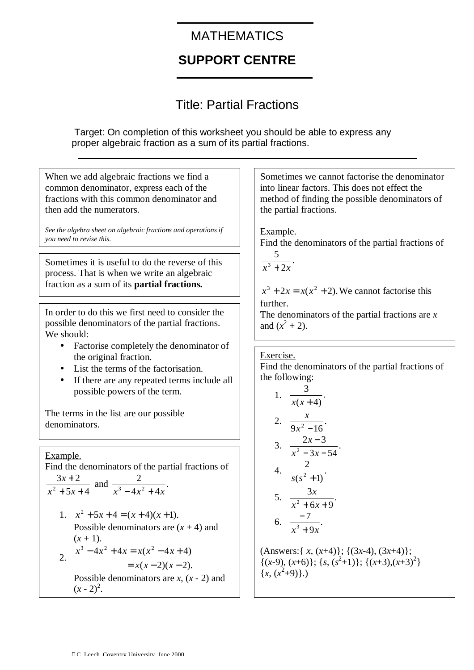## **MATHEMATICS**

## **SUPPORT CENTRE**

## Title: Partial Fractions

Target: On completion of this worksheet you should be able to express any proper algebraic fraction as a sum of its partial fractions.

| When we add algebraic fractions we find a                                                                                                     | Sometimes we cannot factorise the denominator                                                                                   |
|-----------------------------------------------------------------------------------------------------------------------------------------------|---------------------------------------------------------------------------------------------------------------------------------|
| common denominator, express each of the                                                                                                       | into linear factors. This does not effect the                                                                                   |
| fractions with this common denominator and                                                                                                    | method of finding the possible denominators of                                                                                  |
| then add the numerators.                                                                                                                      | the partial fractions.                                                                                                          |
| See the algebra sheet on algebraic fractions and operations if                                                                                | Example.                                                                                                                        |
| you need to revise this.                                                                                                                      | Find the denominators of the partial fractions of                                                                               |
| Sometimes it is useful to do the reverse of this                                                                                              | $\frac{5}{x^3+2x}$ .                                                                                                            |
| process. That is when we write an algebraic<br>fraction as a sum of its <b>partial fractions.</b>                                             | $x^3 + 2x = x(x^2 + 2)$ . We cannot factorise this                                                                              |
| In order to do this we first need to consider the                                                                                             | further.                                                                                                                        |
| possible denominators of the partial fractions.                                                                                               | The denominators of the partial fractions are $x$                                                                               |
| We should:                                                                                                                                    | and $(x^2 + 2)$ .                                                                                                               |
| Factorise completely the denominator of<br>the original fraction.                                                                             | Exercise.                                                                                                                       |
| List the terms of the factorisation.                                                                                                          | Find the denominators of the partial fractions of                                                                               |
| If there are any repeated terms include all                                                                                                   | the following:                                                                                                                  |
| possible powers of the term.                                                                                                                  | 1. $\frac{3}{x(x+4)}$ .                                                                                                         |
| The terms in the list are our possible<br>denominators.                                                                                       | 2. $\frac{x}{9x^2-16}$ .                                                                                                        |
| Example.                                                                                                                                      | 3. $\frac{2x-3}{x^2-3x-54}$ .                                                                                                   |
| Find the denominators of the partial fractions of                                                                                             | 4. $\frac{2}{s(s^2+1)}$ .                                                                                                       |
| $\frac{3x+2}{x^2+5x+4}$ and $\frac{2}{x^3-4x^2+4x}$ .                                                                                         | 5. $\frac{3x}{x^2+6x+9}$ .                                                                                                      |
| 1. $x^2 + 5x + 4 = (x+4)(x+1)$ .<br>Possible denominators are $(x + 4)$ and<br>$(x + 1)$ .                                                    | $-7$<br>6. $\frac{1}{x^3+9x}$ .                                                                                                 |
| $x^3 - 4x^2 + 4x = x(x^2 - 4x + 4)$<br>$\overline{2}$ .<br>$= x(x-2)(x-2).$<br>Possible denominators are $x$ , $(x - 2)$ and<br>$(x - 2)^2$ . | (Answers: { $x, (x+4)$ }; { $(3x-4), (3x+4)$ };<br>$\{(x-9), (x+6)\}; \{s, (s^2+1)\}; \{(x+3), (x+3)^2\}$<br>$\{x, (x^2+9)\}\.$ |